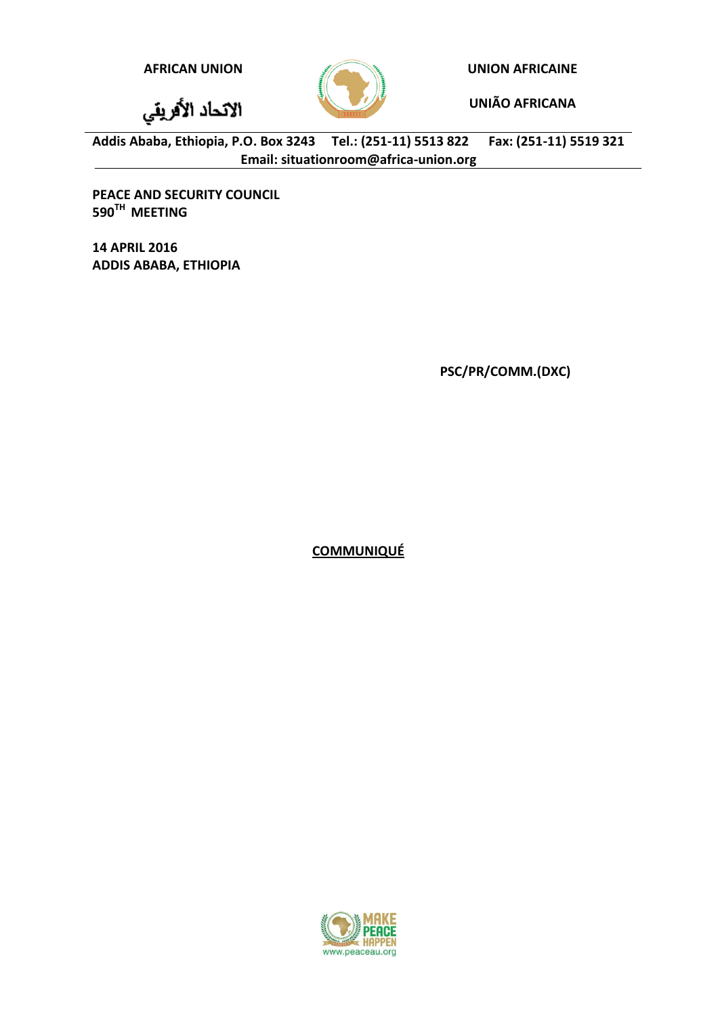الاتحاد الأفريقي

**AFRICAN UNION UNION AFRICAINE**

**UNIÃO AFRICANA**

**Addis Ababa, Ethiopia, P.O. Box 3243 Tel.: (251-11) 5513 822 Fax: (251-11) 5519 321 Email: situationroom@africa-union.org**

**PEACE AND SECURITY COUNCIL 590TH MEETING**

**14 APRIL 2016 ADDIS ABABA, ETHIOPIA**

**PSC/PR/COMM.(DXC)**

**COMMUNIQUÉ**

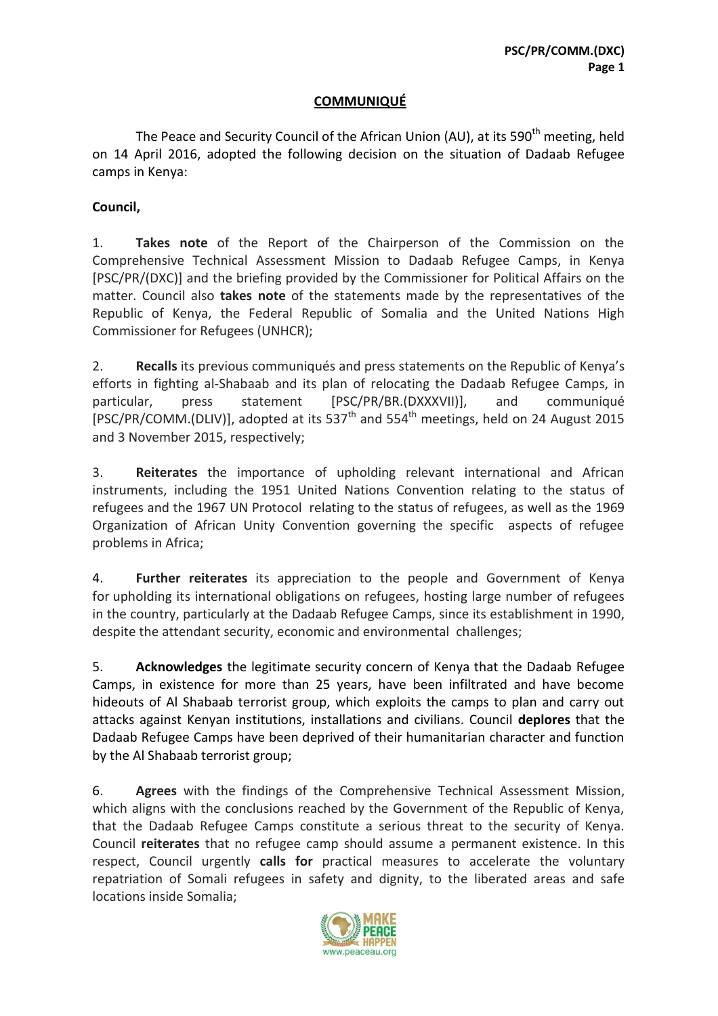## **COMMUNIQUÉ**

The Peace and Security Council of the African Union (AU), at its 590<sup>th</sup> meeting, held on 14 April 2016, adopted the following decision on the situation of Dadaab Refugee camps in Kenya:

## **Council,**

1. **Takes note** of the Report of the Chairperson of the Commission on the Comprehensive Technical Assessment Mission to Dadaab Refugee Camps, in Kenya [PSC/PR/(DXC)] and the briefing provided by the Commissioner for Political Affairs on the matter. Council also **takes note** of the statements made by the representatives of the Republic of Kenya, the Federal Republic of Somalia and the United Nations High Commissioner for Refugees (UNHCR);

2. **Recalls** its previous communiqués and press statements on the Republic of Kenya's efforts in fighting al-Shabaab and its plan of relocating the Dadaab Refugee Camps, in particular, press statement [PSC/PR/BR.(DXXXVII)], and communiqué [PSC/PR/COMM.(DLIV)], adopted at its 537<sup>th</sup> and 554<sup>th</sup> meetings, held on 24 August 2015 and 3 November 2015, respectively;

3. **Reiterates** the importance of upholding relevant international and African instruments, including the 1951 United Nations Convention relating to the status of refugees and the 1967 UN Protocol relating to the status of refugees, as well as the 1969 Organization of African Unity Convention governing the specific aspects of refugee problems in Africa;

4. **Further reiterates** its appreciation to the people and Government of Kenya for upholding its international obligations on refugees, hosting large number of refugees in the country, particularly at the Dadaab Refugee Camps, since its establishment in 1990, despite the attendant security, economic and environmental challenges;

5. **Acknowledges** the legitimate security concern of Kenya that the Dadaab Refugee Camps, in existence for more than 25 years, have been infiltrated and have become hideouts of Al Shabaab terrorist group, which exploits the camps to plan and carry out attacks against Kenyan institutions, installations and civilians. Council **deplores** that the Dadaab Refugee Camps have been deprived of their humanitarian character and function by the Al Shabaab terrorist group;

6. **Agrees** with the findings of the Comprehensive Technical Assessment Mission, which aligns with the conclusions reached by the Government of the Republic of Kenya, that the Dadaab Refugee Camps constitute a serious threat to the security of Kenya. Council **reiterates** that no refugee camp should assume a permanent existence. In this respect, Council urgently **calls for** practical measures to accelerate the voluntary repatriation of Somali refugees in safety and dignity, to the liberated areas and safe locations inside Somalia;

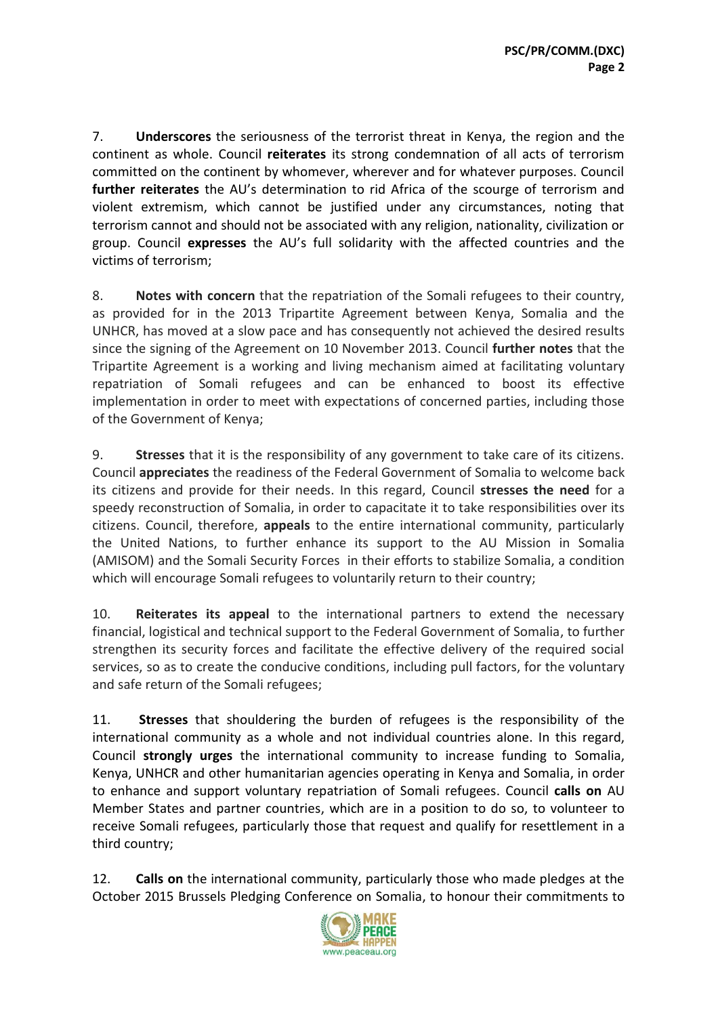7. **Underscores** the seriousness of the terrorist threat in Kenya, the region and the continent as whole. Council **reiterates** its strong condemnation of all acts of terrorism committed on the continent by whomever, wherever and for whatever purposes. Council **further reiterates** the AU's determination to rid Africa of the scourge of terrorism and violent extremism, which cannot be justified under any circumstances, noting that terrorism cannot and should not be associated with any religion, nationality, civilization or group. Council **expresses** the AU's full solidarity with the affected countries and the victims of terrorism;

8. **Notes with concern** that the repatriation of the Somali refugees to their country, as provided for in the 2013 Tripartite Agreement between Kenya, Somalia and the UNHCR, has moved at a slow pace and has consequently not achieved the desired results since the signing of the Agreement on 10 November 2013. Council **further notes** that the Tripartite Agreement is a working and living mechanism aimed at facilitating voluntary repatriation of Somali refugees and can be enhanced to boost its effective implementation in order to meet with expectations of concerned parties, including those of the Government of Kenya;

9. **Stresses** that it is the responsibility of any government to take care of its citizens. Council **appreciates** the readiness of the Federal Government of Somalia to welcome back its citizens and provide for their needs. In this regard, Council **stresses the need** for a speedy reconstruction of Somalia, in order to capacitate it to take responsibilities over its citizens. Council, therefore, **appeals** to the entire international community, particularly the United Nations, to further enhance its support to the AU Mission in Somalia (AMISOM) and the Somali Security Forces in their efforts to stabilize Somalia, a condition which will encourage Somali refugees to voluntarily return to their country;

10. **Reiterates its appeal** to the international partners to extend the necessary financial, logistical and technical support to the Federal Government of Somalia, to further strengthen its security forces and facilitate the effective delivery of the required social services, so as to create the conducive conditions, including pull factors, for the voluntary and safe return of the Somali refugees;

11. **Stresses** that shouldering the burden of refugees is the responsibility of the international community as a whole and not individual countries alone. In this regard, Council **strongly urges** the international community to increase funding to Somalia, Kenya, UNHCR and other humanitarian agencies operating in Kenya and Somalia, in order to enhance and support voluntary repatriation of Somali refugees. Council **calls on** AU Member States and partner countries, which are in a position to do so, to volunteer to receive Somali refugees, particularly those that request and qualify for resettlement in a third country;

12. **Calls on** the international community, particularly those who made pledges at the October 2015 Brussels Pledging Conference on Somalia, to honour their commitments to